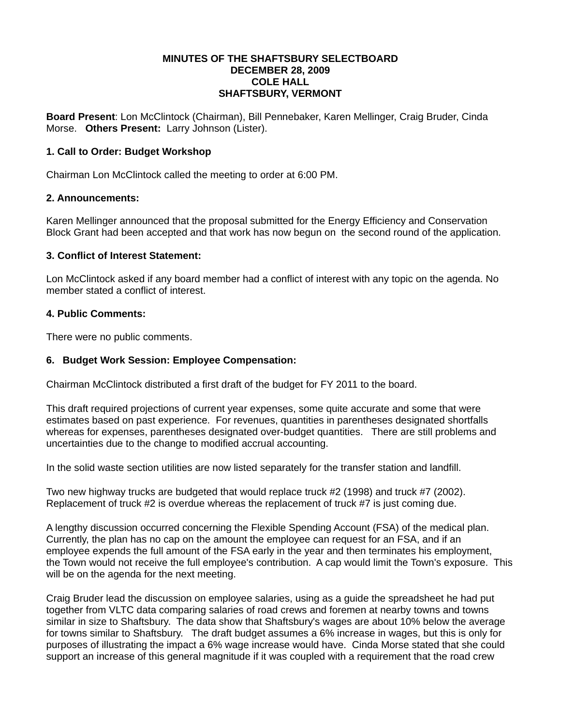#### **MINUTES OF THE SHAFTSBURY SELECTBOARD DECEMBER 28, 2009 COLE HALL SHAFTSBURY, VERMONT**

**Board Present**: Lon McClintock (Chairman), Bill Pennebaker, Karen Mellinger, Craig Bruder, Cinda Morse. **Others Present:** Larry Johnson (Lister).

## **1. Call to Order: Budget Workshop**

Chairman Lon McClintock called the meeting to order at 6:00 PM.

#### **2. Announcements:**

Karen Mellinger announced that the proposal submitted for the Energy Efficiency and Conservation Block Grant had been accepted and that work has now begun on the second round of the application.

#### **3. Conflict of Interest Statement:**

Lon McClintock asked if any board member had a conflict of interest with any topic on the agenda. No member stated a conflict of interest.

#### **4. Public Comments:**

There were no public comments.

### **6. Budget Work Session: Employee Compensation:**

Chairman McClintock distributed a first draft of the budget for FY 2011 to the board.

This draft required projections of current year expenses, some quite accurate and some that were estimates based on past experience. For revenues, quantities in parentheses designated shortfalls whereas for expenses, parentheses designated over-budget quantities. There are still problems and uncertainties due to the change to modified accrual accounting.

In the solid waste section utilities are now listed separately for the transfer station and landfill.

Two new highway trucks are budgeted that would replace truck #2 (1998) and truck #7 (2002). Replacement of truck #2 is overdue whereas the replacement of truck #7 is just coming due.

A lengthy discussion occurred concerning the Flexible Spending Account (FSA) of the medical plan. Currently, the plan has no cap on the amount the employee can request for an FSA, and if an employee expends the full amount of the FSA early in the year and then terminates his employment, the Town would not receive the full employee's contribution. A cap would limit the Town's exposure. This will be on the agenda for the next meeting.

Craig Bruder lead the discussion on employee salaries, using as a guide the spreadsheet he had put together from VLTC data comparing salaries of road crews and foremen at nearby towns and towns similar in size to Shaftsbury. The data show that Shaftsbury's wages are about 10% below the average for towns similar to Shaftsbury. The draft budget assumes a 6% increase in wages, but this is only for purposes of illustrating the impact a 6% wage increase would have. Cinda Morse stated that she could support an increase of this general magnitude if it was coupled with a requirement that the road crew